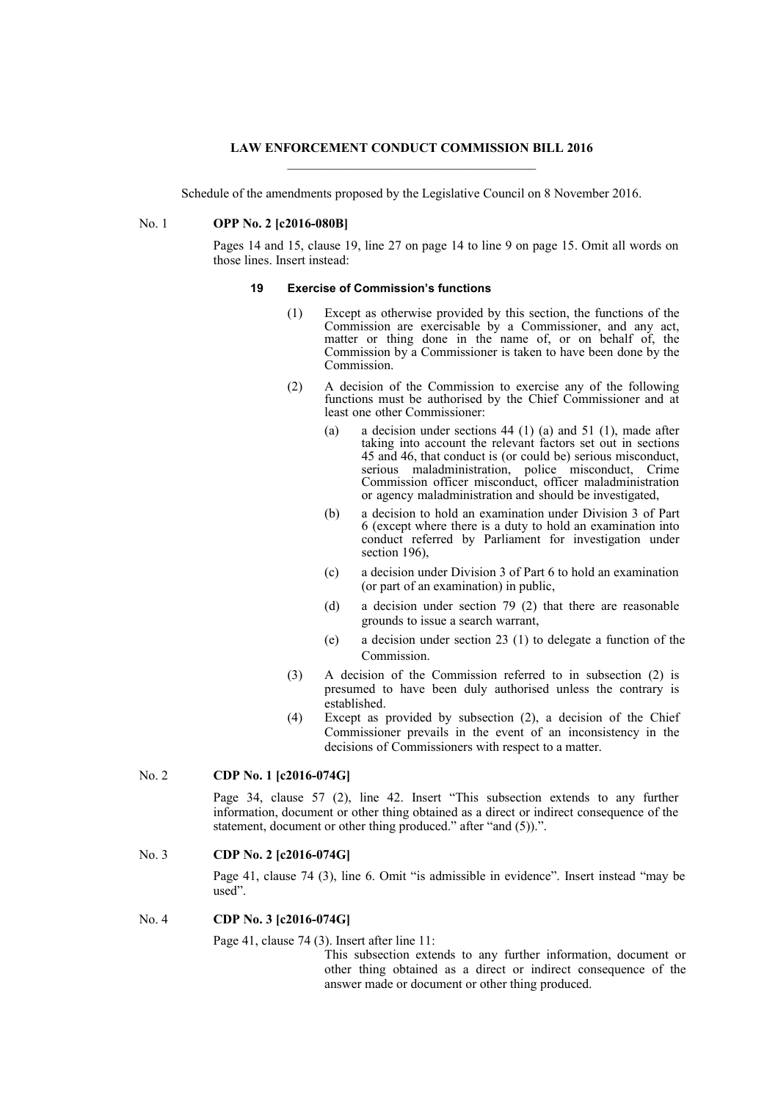### **LAW ENFORCEMENT CONDUCT COMMISSION BILL 2016**

Schedule of the amendments proposed by the Legislative Council on 8 November 2016.

## No. 1 **OPP No. 2 [c2016-080B]**

Pages 14 and 15, clause 19, line 27 on page 14 to line 9 on page 15. Omit all words on those lines. Insert instead:

## **19 Exercise of Commission's functions**

- (1) Except as otherwise provided by this section, the functions of the Commission are exercisable by a Commissioner, and any act, matter or thing done in the name of, or on behalf of, the Commission by a Commissioner is taken to have been done by the Commission.
- (2) A decision of the Commission to exercise any of the following functions must be authorised by the Chief Commissioner and at least one other Commissioner:
	- (a) a decision under sections  $44$  (1) (a) and  $51$  (1), made after taking into account the relevant factors set out in sections 45 and 46, that conduct is (or could be) serious misconduct, serious maladministration, police misconduct, Crime Commission officer misconduct, officer maladministration or agency maladministration and should be investigated,
	- (b) a decision to hold an examination under Division 3 of Part 6 (except where there is a duty to hold an examination into conduct referred by Parliament for investigation under section 196),
	- (c) a decision under Division 3 of Part 6 to hold an examination (or part of an examination) in public,
	- (d) a decision under section 79 (2) that there are reasonable grounds to issue a search warrant,
	- (e) a decision under section 23 (1) to delegate a function of the Commission.
- (3) A decision of the Commission referred to in subsection (2) is presumed to have been duly authorised unless the contrary is established.
- (4) Except as provided by subsection (2), a decision of the Chief Commissioner prevails in the event of an inconsistency in the decisions of Commissioners with respect to a matter.

# No. 2 **CDP No. 1 [c2016-074G]**

Page 34, clause 57 (2), line 42. Insert "This subsection extends to any further information, document or other thing obtained as a direct or indirect consequence of the statement, document or other thing produced." after "and (5)).".

# No. 3 **CDP No. 2 [c2016-074G]**

Page 41, clause 74 (3), line 6. Omit "is admissible in evidence". Insert instead "may be used".

## No. 4 **CDP No. 3 [c2016-074G]**

Page 41, clause 74 (3). Insert after line 11:

This subsection extends to any further information, document or other thing obtained as a direct or indirect consequence of the answer made or document or other thing produced.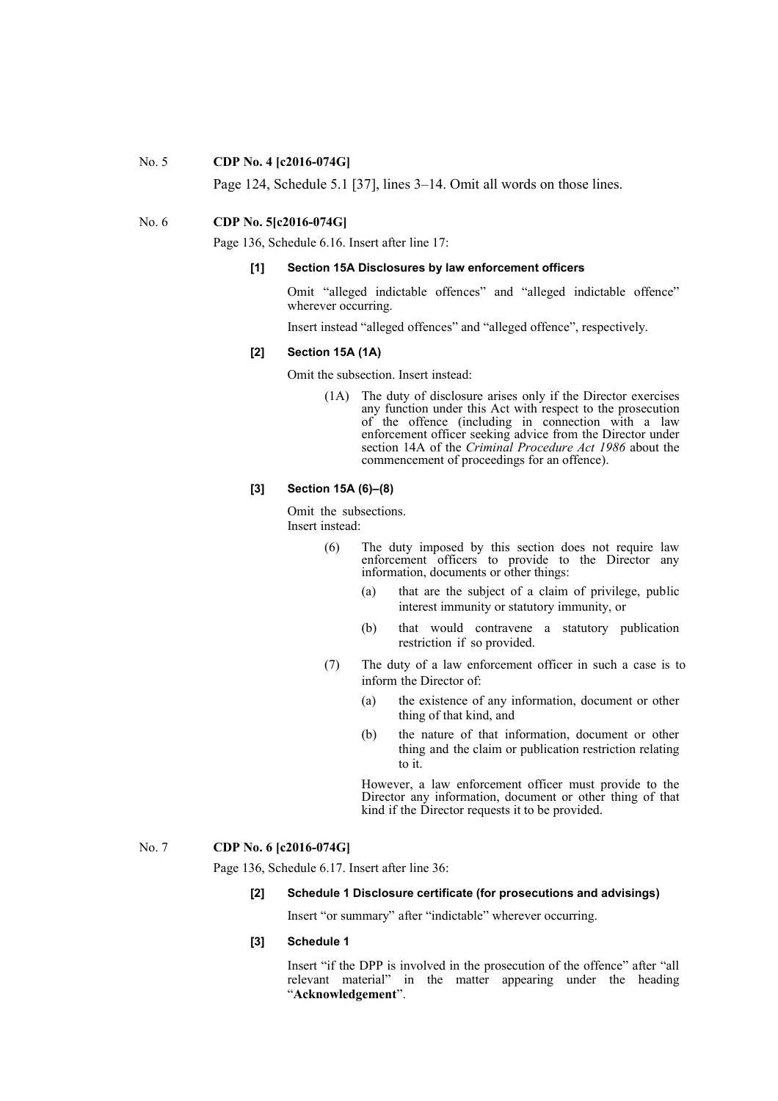#### No. 5 **CDP No. 4 [c2016-074G]**

Page 124, Schedule 5.1 [37], lines 3–14. Omit all words on those lines.

## No. 6 **CDP No. 5[c2016-074G]**

Page 136, Schedule 6.16. Insert after line 17:

#### **[1] Section 15A Disclosures by law enforcement officers**

Omit "alleged indictable offences" and "alleged indictable offence" wherever occurring.

Insert instead "alleged offences" and "alleged offence", respectively.

#### **[2] Section 15A (1A)**

Omit the subsection. Insert instead:

(1A) The duty of disclosure arises only if the Director exercises any function under this Act with respect to the prosecution of the offence (including in connection with a law enforcement officer seeking advice from the Director under section 14A of the *Criminal Procedure Act 1986* about the commencement of proceedings for an offence).

## **[3] Section 15A (6)–(8)**

Omit the subsections. Insert instead:

- (6) The duty imposed by this section does not require law enforcement officers to provide to the Director any information, documents or other things:
	- (a) that are the subject of a claim of privilege, public interest immunity or statutory immunity, or
	- (b) that would contravene a statutory publication restriction if so provided.
- (7) The duty of a law enforcement officer in such a case is to inform the Director of:
	- (a) the existence of any information, document or other thing of that kind, and
	- (b) the nature of that information, document or other thing and the claim or publication restriction relating to it.

However, a law enforcement officer must provide to the Director any information, document or other thing of that kind if the Director requests it to be provided.

# No. 7 **CDP No. 6 [c2016-074G]**

Page 136, Schedule 6.17. Insert after line 36:

# **[2] Schedule 1 Disclosure certificate (for prosecutions and advisings)**

Insert "or summary" after "indictable" wherever occurring.

# **[3] Schedule 1**

Insert "if the DPP is involved in the prosecution of the offence" after "all relevant material" in the matter appearing under the heading "**Acknowledgement**".